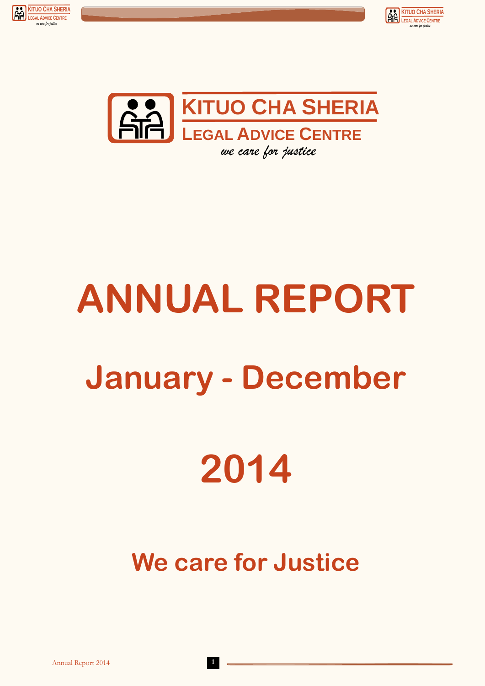





# **ANNUAL REPORT January - December 2014**

## **We care for Justice**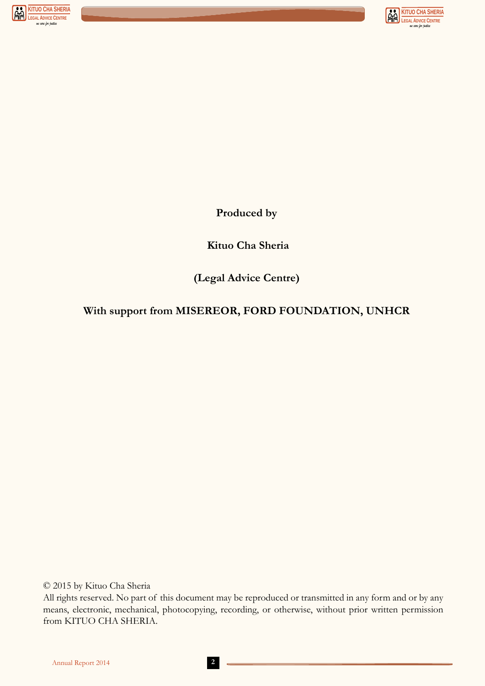



**Produced by**

 **Kituo Cha Sheria**

**(Legal Advice Centre)**

### **With support from MISEREOR, FORD FOUNDATION, UNHCR**

© 2015 by Kituo Cha Sheria

All rights reserved. No part of this document may be reproduced or transmitted in any form and or by any means, electronic, mechanical, photocopying, recording, or otherwise, without prior written permission from KITUO CHA SHERIA.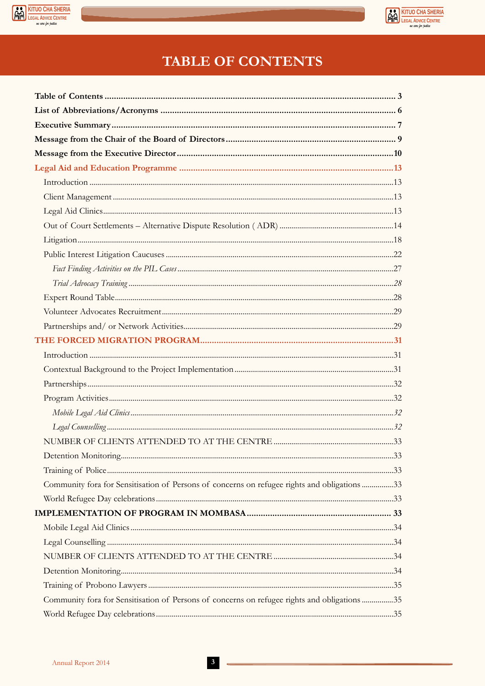



## **TABLE OF CONTENTS**

| Community fora for Sensitisation of Persons of concerns on refugee rights and obligations 33 |  |
|----------------------------------------------------------------------------------------------|--|
|                                                                                              |  |
|                                                                                              |  |
|                                                                                              |  |
|                                                                                              |  |
|                                                                                              |  |
|                                                                                              |  |
|                                                                                              |  |
| Community fora for Sensitisation of Persons of concerns on refugee rights and obligations 35 |  |
|                                                                                              |  |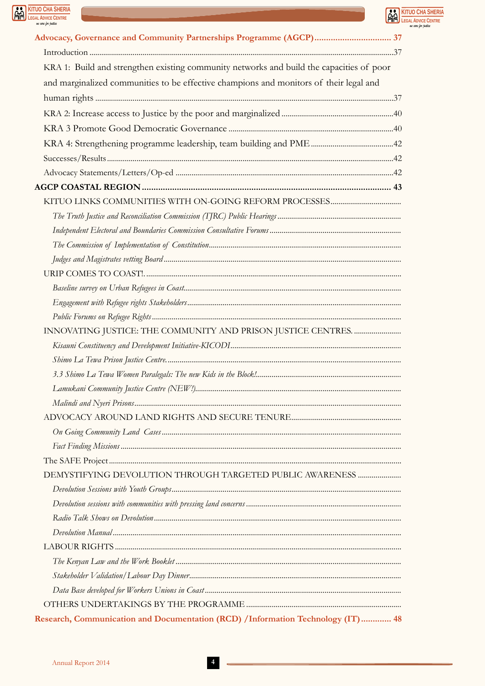



**KITUO CHA SHERIA**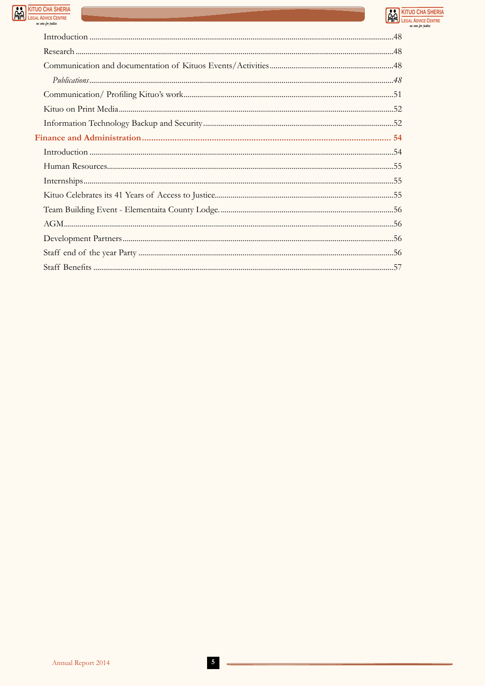



e rane lan iusti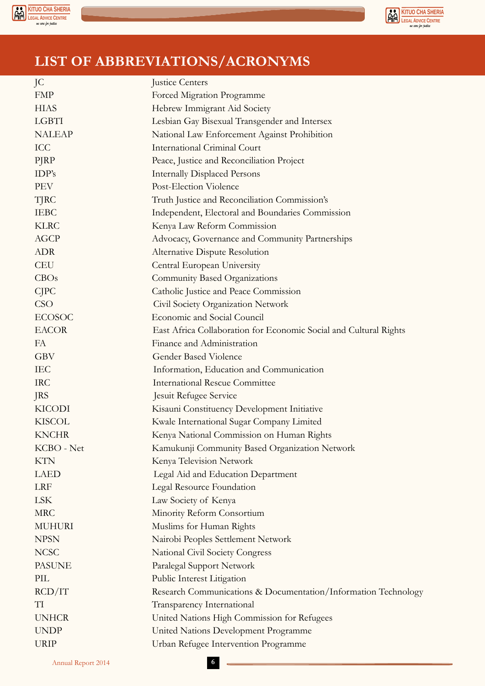



## **LIST OF ABBREVIATIONS/ACRONYMS**

| JC            | Justice Centers                                                   |  |  |  |  |  |
|---------------|-------------------------------------------------------------------|--|--|--|--|--|
| <b>FMP</b>    | Forced Migration Programme                                        |  |  |  |  |  |
| <b>HIAS</b>   | Hebrew Immigrant Aid Society                                      |  |  |  |  |  |
| <b>LGBTI</b>  | Lesbian Gay Bisexual Transgender and Intersex                     |  |  |  |  |  |
| <b>NALEAP</b> | National Law Enforcement Against Prohibition                      |  |  |  |  |  |
| <b>ICC</b>    | <b>International Criminal Court</b>                               |  |  |  |  |  |
| PJRP          | Peace, Justice and Reconciliation Project                         |  |  |  |  |  |
| IDP's         | <b>Internally Displaced Persons</b>                               |  |  |  |  |  |
| <b>PEV</b>    | Post-Election Violence                                            |  |  |  |  |  |
| TJRC          | Truth Justice and Reconciliation Commission's                     |  |  |  |  |  |
| <b>IEBC</b>   | Independent, Electoral and Boundaries Commission                  |  |  |  |  |  |
| <b>KLRC</b>   | Kenya Law Reform Commission                                       |  |  |  |  |  |
| <b>AGCP</b>   | Advocacy, Governance and Community Partnerships                   |  |  |  |  |  |
| <b>ADR</b>    | Alternative Dispute Resolution                                    |  |  |  |  |  |
| <b>CEU</b>    | Central European University                                       |  |  |  |  |  |
| CBOs          | <b>Community Based Organizations</b>                              |  |  |  |  |  |
| <b>CJPC</b>   | Catholic Justice and Peace Commission                             |  |  |  |  |  |
| <b>CSO</b>    | Civil Society Organization Network                                |  |  |  |  |  |
| <b>ECOSOC</b> | Economic and Social Council                                       |  |  |  |  |  |
| <b>EACOR</b>  | East Africa Collaboration for Economic Social and Cultural Rights |  |  |  |  |  |
| FA            | Finance and Administration                                        |  |  |  |  |  |
| <b>GBV</b>    | Gender Based Violence                                             |  |  |  |  |  |
| <b>IEC</b>    | Information, Education and Communication                          |  |  |  |  |  |
| <b>IRC</b>    | <b>International Rescue Committee</b>                             |  |  |  |  |  |
| <b>JRS</b>    | Jesuit Refugee Service                                            |  |  |  |  |  |
| <b>KICODI</b> | Kisauni Constituency Development Initiative                       |  |  |  |  |  |
| <b>KISCOL</b> | Kwale International Sugar Company Limited                         |  |  |  |  |  |
| <b>KNCHR</b>  | Kenya National Commission on Human Rights                         |  |  |  |  |  |
| KCBO - Net    | Kamukunji Community Based Organization Network                    |  |  |  |  |  |
| <b>KTN</b>    | Kenya Television Network                                          |  |  |  |  |  |
| LAED          | Legal Aid and Education Department                                |  |  |  |  |  |
| <b>LRF</b>    | Legal Resource Foundation                                         |  |  |  |  |  |
| <b>LSK</b>    | Law Society of Kenya                                              |  |  |  |  |  |
| <b>MRC</b>    | Minority Reform Consortium                                        |  |  |  |  |  |
| <b>MUHURI</b> | Muslims for Human Rights                                          |  |  |  |  |  |
| <b>NPSN</b>   | Nairobi Peoples Settlement Network                                |  |  |  |  |  |
| <b>NCSC</b>   | National Civil Society Congress                                   |  |  |  |  |  |
| <b>PASUNE</b> | Paralegal Support Network                                         |  |  |  |  |  |
| PIL           | Public Interest Litigation                                        |  |  |  |  |  |
| RCD/IT        | Research Communications & Documentation/Information Technology    |  |  |  |  |  |
| TI            | Transparency International                                        |  |  |  |  |  |
| <b>UNHCR</b>  | United Nations High Commission for Refugees                       |  |  |  |  |  |
| <b>UNDP</b>   | United Nations Development Programme                              |  |  |  |  |  |
| <b>URIP</b>   | Urban Refugee Intervention Programme                              |  |  |  |  |  |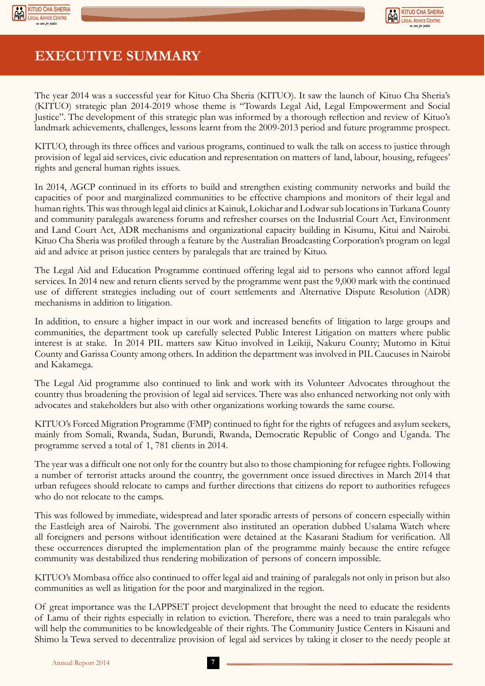



## **EXECUTIVE SUMMARY**

The year 2014 was a successful year for Kituo Cha Sheria (KITUO). It saw the launch of Kituo Cha Sheria's (KITUO) strategic plan 2014-2019 whose theme is "Towards Legal Aid, Legal Empowerment and Social Justice". The development of this strategic plan was informed by a thorough reflection and review of Kituo's landmark achievements, challenges, lessons learnt from the 2009-2013 period and future programme prospect.

KITUO, through its three offices and various programs, continued to walk the talk on access to justice through provision of legal aid services, civic education and representation on matters of land, labour, housing, refugees' rights and general human rights issues.

In 2014, AGCP continued in its efforts to build and strengthen existing community networks and build the capacities of poor and marginalized communities to be effective champions and monitors of their legal and human rights. This was through legal aid clinics at Kainuk, Lokichar and Lodwar sub locations in Turkana County and community paralegals awareness forums and refresher courses on the Industrial Court Act, Environment and Land Court Act, ADR mechanisms and organizational capacity building in Kisumu, Kitui and Nairobi. Kituo Cha Sheria was profiled through a feature by the Australian Broadcasting Corporation's program on legal aid and advice at prison justice centers by paralegals that are trained by Kituo.

The Legal Aid and Education Programme continued offering legal aid to persons who cannot afford legal services. In 2014 new and return clients served by the programme went past the 9,000 mark with the continued use of different strategies including out of court settlements and Alternative Dispute Resolution (ADR) mechanisms in addition to litigation.

In addition, to ensure a higher impact in our work and increased benefits of litigation to large groups and communities, the department took up carefully selected Public Interest Litigation on matters where public interest is at stake. In 2014 PIL matters saw Kituo involved in Leikiji, Nakuru County; Mutomo in Kitui County and Garissa County among others. In addition the department was involved in PIL Caucuses in Nairobi and Kakamega.

The Legal Aid programme also continued to link and work with its Volunteer Advocates throughout the country thus broadening the provision of legal aid services. There was also enhanced networking not only with advocates and stakeholders but also with other organizations working towards the same course.

KITUO's Forced Migration Programme (FMP) continued to fight for the rights of refugees and asylum seekers, mainly from Somali, Rwanda, Sudan, Burundi, Rwanda, Democratic Republic of Congo and Uganda. The programme served a total of 1, 781 clients in 2014.

The year was a difficult one not only for the country but also to those championing for refugee rights. Following a number of terrorist attacks around the country, the government once issued directives in March 2014 that urban refugees should relocate to camps and further directions that citizens do report to authorities refugees who do not relocate to the camps.

This was followed by immediate, widespread and later sporadic arrests of persons of concern especially within the Eastleigh area of Nairobi. The government also instituted an operation dubbed Usalama Watch where all foreigners and persons without identification were detained at the Kasarani Stadium for verification. All these occurrences disrupted the implementation plan of the programme mainly because the entire refugee community was destabilized thus rendering mobilization of persons of concern impossible.

KITUO's Mombasa office also continued to offer legal aid and training of paralegals not only in prison but also communities as well as litigation for the poor and marginalized in the region.

Of great importance was the LAPPSET project development that brought the need to educate the residents of Lamu of their rights especially in relation to eviction. Therefore, there was a need to train paralegals who will help the communities to be knowledgeable of their rights. The Community Justice Centers in Kisauni and Shimo la Tewa served to decentralize provision of legal aid services by taking it closer to the needy people at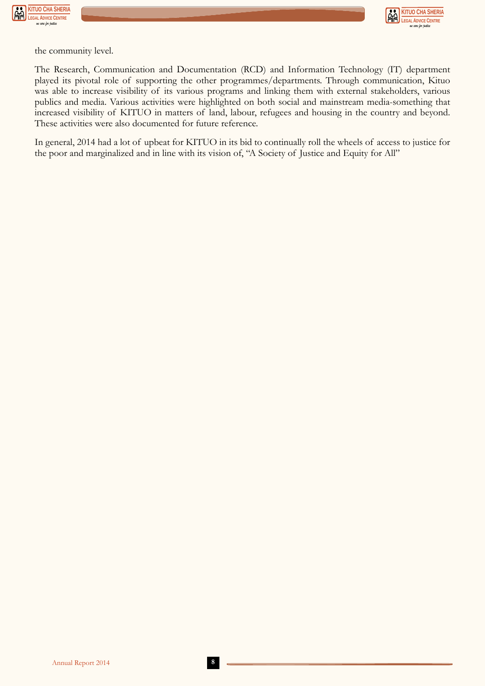



the community level.

The Research, Communication and Documentation (RCD) and Information Technology (IT) department played its pivotal role of supporting the other programmes/departments. Through communication, Kituo was able to increase visibility of its various programs and linking them with external stakeholders, various publics and media. Various activities were highlighted on both social and mainstream media-something that increased visibility of KITUO in matters of land, labour, refugees and housing in the country and beyond. These activities were also documented for future reference.

In general, 2014 had a lot of upbeat for KITUO in its bid to continually roll the wheels of access to justice for the poor and marginalized and in line with its vision of, "A Society of Justice and Equity for All"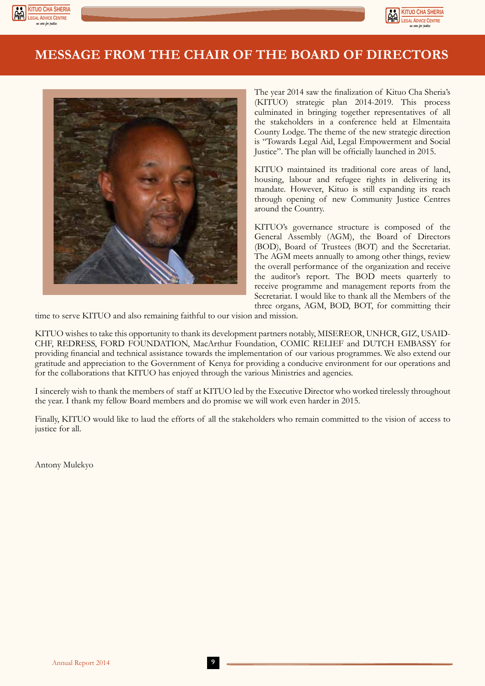





The year 2014 saw the finalization of Kituo Cha Sheria's (KITUO) strategic plan 2014-2019. This process culminated in bringing together representatives of all the stakeholders in a conference held at Elmentaita County Lodge. The theme of the new strategic direction is "Towards Legal Aid, Legal Empowerment and Social Justice". The plan will be officially launched in 2015.

**KITUO CHA SHERIA LEGAL ADVICE CENTRE** *we care for justice*

KITUO maintained its traditional core areas of land, housing, labour and refugee rights in delivering its mandate. However, Kituo is still expanding its reach through opening of new Community Justice Centres around the Country.

KITUO's governance structure is composed of the General Assembly (AGM), the Board of Directors (BOD), Board of Trustees (BOT) and the Secretariat. The AGM meets annually to among other things, review the overall performance of the organization and receive the auditor's report. The BOD meets quarterly to receive programme and management reports from the Secretariat. I would like to thank all the Members of the three organs, AGM, BOD, BOT, for committing their

time to serve KITUO and also remaining faithful to our vision and mission.

KITUO wishes to take this opportunity to thank its development partners notably, MISEREOR, UNHCR, GIZ, USAID-CHF, REDRESS, FORD FOUNDATION, MacArthur Foundation, COMIC RELIEF and DUTCH EMBASSY for providing financial and technical assistance towards the implementation of our various programmes. We also extend our gratitude and appreciation to the Government of Kenya for providing a conducive environment for our operations and for the collaborations that KITUO has enjoyed through the various Ministries and agencies.

I sincerely wish to thank the members of staff at KITUO led by the Executive Director who worked tirelessly throughout the year. I thank my fellow Board members and do promise we will work even harder in 2015.

Finally, KITUO would like to laud the efforts of all the stakeholders who remain committed to the vision of access to justice for all.

Antony Mulekyo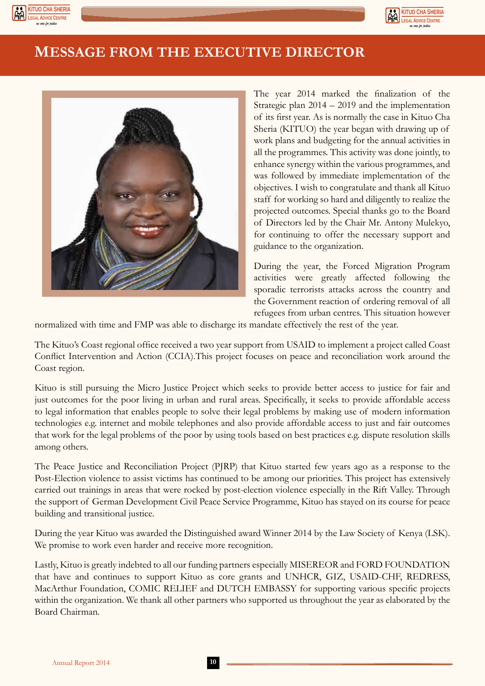



## **MESSAGE FROM THE EXECUTIVE DIRECTOR**



The year 2014 marked the finalization of the Strategic plan 2014 – 2019 and the implementation of its first year. As is normally the case in Kituo Cha Sheria (KITUO) the year began with drawing up of work plans and budgeting for the annual activities in all the programmes. This activity was done jointly, to enhance synergy within the various programmes, and was followed by immediate implementation of the objectives. I wish to congratulate and thank all Kituo staff for working so hard and diligently to realize the projected outcomes. Special thanks go to the Board of Directors led by the Chair Mr. Antony Mulekyo, for continuing to offer the necessary support and guidance to the organization.

During the year, the Forced Migration Program activities were greatly affected following the sporadic terrorists attacks across the country and the Government reaction of ordering removal of all refugees from urban centres. This situation however

normalized with time and FMP was able to discharge its mandate effectively the rest of the year.

The Kituo's Coast regional office received a two year support from USAID to implement a project called Coast Conflict Intervention and Action (CCIA).This project focuses on peace and reconciliation work around the Coast region.

Kituo is still pursuing the Micro Justice Project which seeks to provide better access to justice for fair and just outcomes for the poor living in urban and rural areas. Specifically, it seeks to provide affordable access to legal information that enables people to solve their legal problems by making use of modern information technologies e.g. internet and mobile telephones and also provide affordable access to just and fair outcomes that work for the legal problems of the poor by using tools based on best practices e.g. dispute resolution skills among others.

The Peace Justice and Reconciliation Project (PJRP) that Kituo started few years ago as a response to the Post-Election violence to assist victims has continued to be among our priorities. This project has extensively carried out trainings in areas that were rocked by post-election violence especially in the Rift Valley. Through the support of German Development Civil Peace Service Programme, Kituo has stayed on its course for peace building and transitional justice.

During the year Kituo was awarded the Distinguished award Winner 2014 by the Law Society of Kenya (LSK). We promise to work even harder and receive more recognition.

Lastly, Kituo is greatly indebted to all our funding partners especially MISEREOR and FORD FOUNDATION that have and continues to support Kituo as core grants and UNHCR, GIZ, USAID-CHF, REDRESS, MacArthur Foundation, COMIC RELIEF and DUTCH EMBASSY for supporting various specific projects within the organization. We thank all other partners who supported us throughout the year as elaborated by the Board Chairman.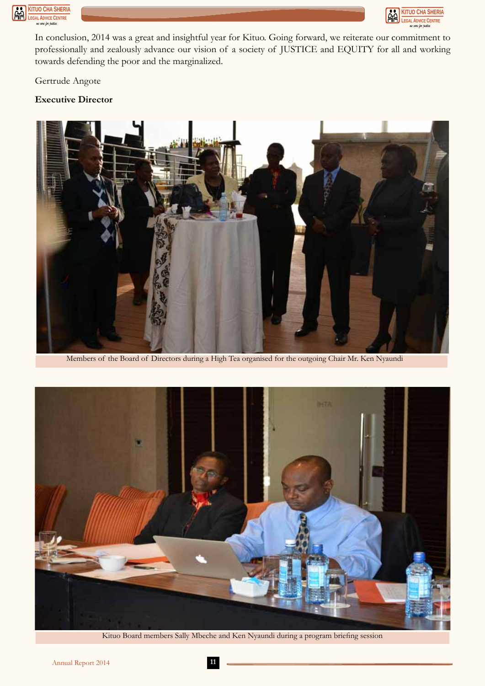



In conclusion, 2014 was a great and insightful year for Kituo. Going forward, we reiterate our commitment to professionally and zealously advance our vision of a society of JUSTICE and EQUITY for all and working towards defending the poor and the marginalized.

Gertrude Angote

#### **Executive Director**



Members of the Board of Directors during a High Tea organised for the outgoing Chair Mr. Ken Nyaundi



Kituo Board members Sally Mbeche and Ken Nyaundi during a program briefing session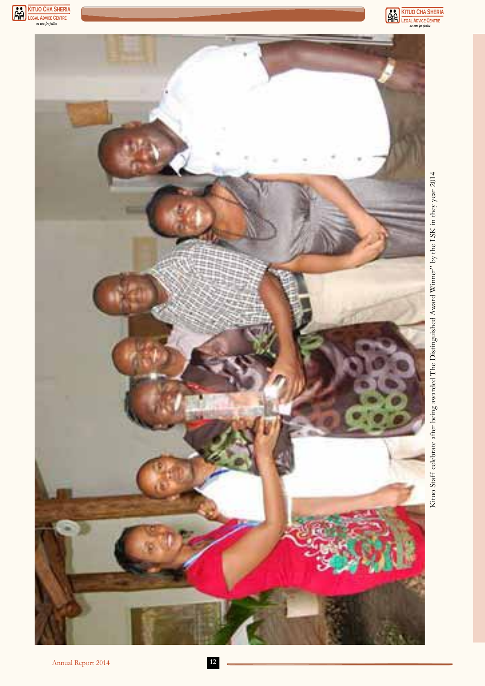



Kituo Staff celebrate after being awarded The Distinguished Award Winner" by the LSK in they year 2014 Kituo Staff celebrate after being awarded The Distinguished Award Winner" by the LSK in they year 2014

**KITUO CHA SHERIA**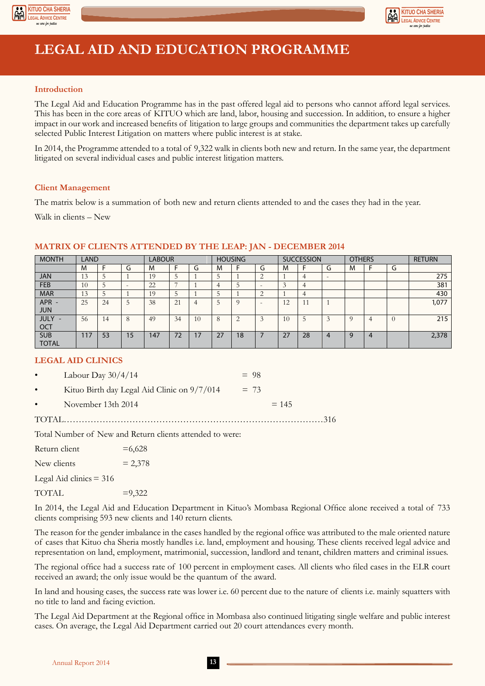



## **LEGAL AID AND EDUCATION PROGRAMME**

#### **Introduction**

The Legal Aid and Education Programme has in the past offered legal aid to persons who cannot afford legal services. This has been in the core areas of KITUO which are land, labor, housing and succession. In addition, to ensure a higher impact in our work and increased benefits of litigation to large groups and communities the department takes up carefully selected Public Interest Litigation on matters where public interest is at stake.

In 2014, the Programme attended to a total of 9,322 walk in clients both new and return. In the same year, the department litigated on several individual cases and public interest litigation matters.

#### **Client Management**

The matrix below is a summation of both new and return clients attended to and the cases they had in the year.

Walk in clients – New

| <b>MONTH</b> | LAND |    |                          | <b>LABOUR</b> |    |    |    | <b>HOUSING</b>  |                          | <b>SUCCESSION</b> |         | <b>OTHERS</b>            |   |                | <b>RETURN</b> |       |
|--------------|------|----|--------------------------|---------------|----|----|----|-----------------|--------------------------|-------------------|---------|--------------------------|---|----------------|---------------|-------|
|              | M    |    | G                        | M             |    | u  | M  |                 | G                        | M                 |         | G                        | M |                | G             |       |
| <b>JAN</b>   | 13   |    |                          | 19            | ر  |    |    |                 | $\bigcap$                |                   | 4       | $\overline{\phantom{a}}$ |   |                |               | 275   |
| <b>FEB</b>   | 10   |    | $\overline{\phantom{0}}$ | 22            |    |    |    |                 | $\overline{\phantom{0}}$ | $\sim$            | 4       |                          |   |                |               | 381   |
| <b>MAR</b>   | 13   |    |                          | 19            |    |    |    |                 | $\bigcap$                |                   | 4       |                          |   |                |               | 430   |
| APR -        | 25   | 24 | $\mathcal{D}$            | 38            | 21 |    |    | $\Omega$        | $\overline{\phantom{0}}$ | 12                | $\perp$ |                          |   |                |               | 1,077 |
| <b>JUN</b>   |      |    |                          |               |    |    |    |                 |                          |                   |         |                          |   |                |               |       |
| <b>JULY</b>  | 56   | 14 | 8                        | 49            | 34 | 10 |    | $\bigcirc$<br>∠ | $\sqrt{2}$               | 10                |         |                          |   | $\overline{4}$ | $\Omega$      | 215   |
| <b>OCT</b>   |      |    |                          |               |    |    |    |                 |                          |                   |         |                          |   |                |               |       |
| <b>SUB</b>   | 17   | 53 | 15                       | 147           | 72 | 17 | 27 | 18              |                          | 27                | 28      | 4                        | q | 4              |               | 2,378 |
| <b>TOTAL</b> |      |    |                          |               |    |    |    |                 |                          |                   |         |                          |   |                |               |       |

#### **MATRIX OF CLIENTS ATTENDED BY THE LEAP: JAN - DECEMBER 2014**

#### **LEGAL AID CLINICS**

| $\bullet$ and $\bullet$ and $\bullet$ | November 13th 2014                          | $= 145$ |  |
|---------------------------------------|---------------------------------------------|---------|--|
| $\bullet$                             | Kituo Birth day Legal Aid Clinic on 9/7/014 | $= 73$  |  |
| $\bullet$ and $\bullet$               | Labour Day $30/4/14$                        | $= 98$  |  |

Total Number of New and Return clients attended to were:

| $=6,628$  |
|-----------|
| $= 2,378$ |
|           |
| $= 9,322$ |
|           |

In 2014, the Legal Aid and Education Department in Kituo's Mombasa Regional Office alone received a total of 733 clients comprising 593 new clients and 140 return clients.

The reason for the gender imbalance in the cases handled by the regional office was attributed to the male oriented nature of cases that Kituo cha Sheria mostly handles i.e. land, employment and housing. These clients received legal advice and representation on land, employment, matrimonial, succession, landlord and tenant, children matters and criminal issues.

The regional office had a success rate of 100 percent in employment cases. All clients who filed cases in the ELR court received an award; the only issue would be the quantum of the award.

In land and housing cases, the success rate was lower i.e. 60 percent due to the nature of clients i.e. mainly squatters with no title to land and facing eviction.

The Legal Aid Department at the Regional office in Mombasa also continued litigating single welfare and public interest cases. On average, the Legal Aid Department carried out 20 court attendances every month.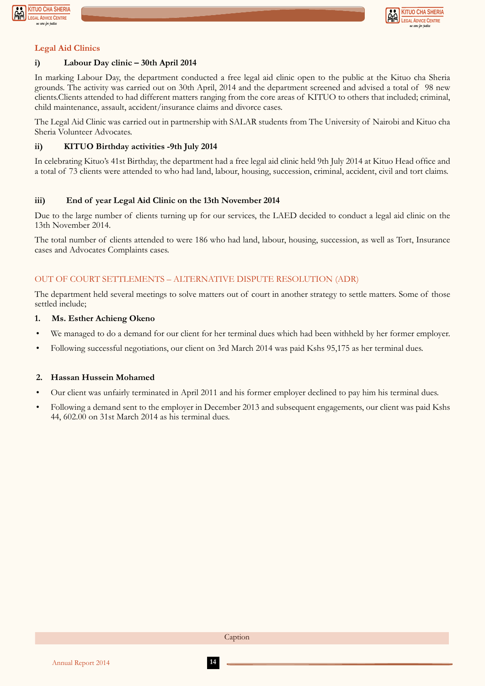



#### **Legal Aid Clinics**

#### **i) Labour Day clinic – 30th April 2014**

In marking Labour Day, the department conducted a free legal aid clinic open to the public at the Kituo cha Sheria grounds. The activity was carried out on 30th April, 2014 and the department screened and advised a total of 98 new clients.Clients attended to had different matters ranging from the core areas of KITUO to others that included; criminal, child maintenance, assault, accident/insurance claims and divorce cases.

The Legal Aid Clinic was carried out in partnership with SALAR students from The University of Nairobi and Kituo cha Sheria Volunteer Advocates.

#### **ii) KITUO Birthday activities -9th July 2014**

In celebrating Kituo's 41st Birthday, the department had a free legal aid clinic held 9th July 2014 at Kituo Head office and a total of 73 clients were attended to who had land, labour, housing, succession, criminal, accident, civil and tort claims.

#### **iii) End of year Legal Aid Clinic on the 13th November 2014**

Due to the large number of clients turning up for our services, the LAED decided to conduct a legal aid clinic on the 13th November 2014.

The total number of clients attended to were 186 who had land, labour, housing, succession, as well as Tort, Insurance cases and Advocates Complaints cases.

#### OUT OF COURT SETTLEMENTS – ALTERNATIVE DISPUTE RESOLUTION (ADR)

The department held several meetings to solve matters out of court in another strategy to settle matters. Some of those settled include;

#### **1. Ms. Esther Achieng Okeno**

- We managed to do a demand for our client for her terminal dues which had been withheld by her former employer.
- Following successful negotiations, our client on 3rd March 2014 was paid Kshs 95,175 as her terminal dues.

#### **2. Hassan Hussein Mohamed**

- Our client was unfairly terminated in April 2011 and his former employer declined to pay him his terminal dues.
- Following a demand sent to the employer in December 2013 and subsequent engagements, our client was paid Kshs 44, 602.00 on 31st March 2014 as his terminal dues.

Caption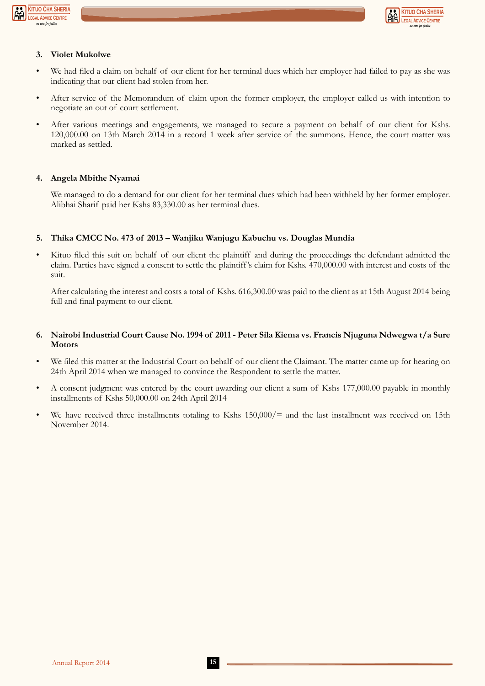



#### **3. Violet Mukolwe**

- We had filed a claim on behalf of our client for her terminal dues which her employer had failed to pay as she was indicating that our client had stolen from her.
- After service of the Memorandum of claim upon the former employer, the employer called us with intention to negotiate an out of court settlement.
- After various meetings and engagements, we managed to secure a payment on behalf of our client for Kshs. 120,000.00 on 13th March 2014 in a record 1 week after service of the summons. Hence, the court matter was marked as settled.

#### **4. Angela Mbithe Nyamai**

We managed to do a demand for our client for her terminal dues which had been withheld by her former employer. Alibhai Sharif paid her Kshs 83,330.00 as her terminal dues.

#### **5. Thika CMCC No. 473 of 2013 – Wanjiku Wanjugu Kabuchu vs. Douglas Mundia**

• Kituo filed this suit on behalf of our client the plaintiff and during the proceedings the defendant admitted the claim. Parties have signed a consent to settle the plaintiff 's claim for Kshs. 470,000.00 with interest and costs of the suit.

After calculating the interest and costs a total of Kshs. 616,300.00 was paid to the client as at 15th August 2014 being full and final payment to our client.

#### **6. Nairobi Industrial Court Cause No. 1994 of 2011 - Peter Sila Kiema vs. Francis Njuguna Ndwegwa t/a Sure Motors**

- We filed this matter at the Industrial Court on behalf of our client the Claimant. The matter came up for hearing on 24th April 2014 when we managed to convince the Respondent to settle the matter.
- A consent judgment was entered by the court awarding our client a sum of Kshs 177,000.00 payable in monthly installments of Kshs 50,000.00 on 24th April 2014
- We have received three installments totaling to Kshs  $150,000/=$  and the last installment was received on 15th November 2014.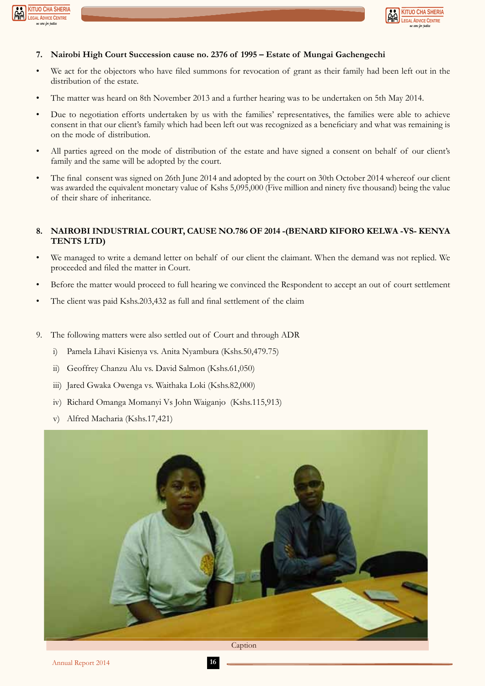



#### **7. Nairobi High Court Succession cause no. 2376 of 1995 – Estate of Mungai Gachengechi**

- We act for the objectors who have filed summons for revocation of grant as their family had been left out in the distribution of the estate.
- The matter was heard on 8th November 2013 and a further hearing was to be undertaken on 5th May 2014.
- Due to negotiation efforts undertaken by us with the families' representatives, the families were able to achieve consent in that our client's family which had been left out was recognized as a beneficiary and what was remaining is on the mode of distribution.
- All parties agreed on the mode of distribution of the estate and have signed a consent on behalf of our client's family and the same will be adopted by the court.
- The final consent was signed on 26th June 2014 and adopted by the court on 30th October 2014 whereof our client was awarded the equivalent monetary value of Kshs 5,095,000 (Five million and ninety five thousand) being the value of their share of inheritance.

#### **8. NAIROBI INDUSTRIAL COURT, CAUSE NO.786 OF 2014 -(BENARD KIFORO KELWA -VS- KENYA TENTS LTD)**

- We managed to write a demand letter on behalf of our client the claimant. When the demand was not replied. We proceeded and filed the matter in Court.
- Before the matter would proceed to full hearing we convinced the Respondent to accept an out of court settlement
- The client was paid Kshs.203,432 as full and final settlement of the claim
- 9. The following matters were also settled out of Court and through ADR
	- i) Pamela Lihavi Kisienya vs. Anita Nyambura (Kshs.50,479.75)
	- ii) Geoffrey Chanzu Alu vs. David Salmon (Kshs.61,050)
	- iii) Jared Gwaka Owenga vs. Waithaka Loki (Kshs.82,000)
	- iv) Richard Omanga Momanyi Vs John Waiganjo (Kshs.115,913)
	- v) Alfred Macharia (Kshs.17,421)

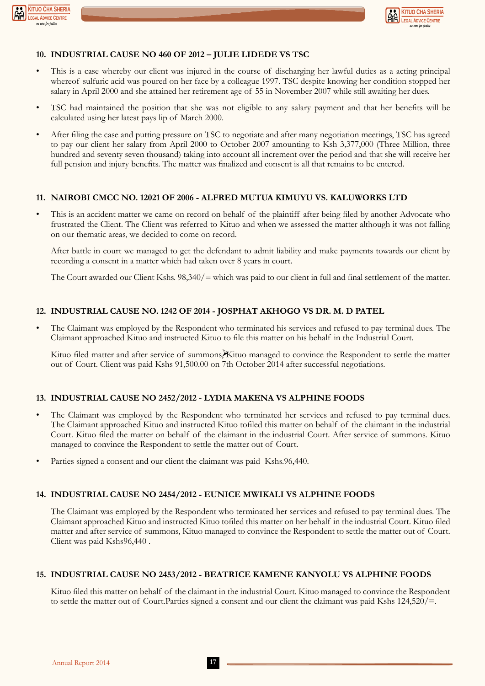



#### **10. INDUSTRIAL CAUSE NO 460 OF 2012 – JULIE LIDEDE VS TSC**

- This is a case whereby our client was injured in the course of discharging her lawful duties as a acting principal whereof sulfuric acid was poured on her face by a colleague 1997. TSC despite knowing her condition stopped her salary in April 2000 and she attained her retirement age of 55 in November 2007 while still awaiting her dues.
- TSC had maintained the position that she was not eligible to any salary payment and that her benefits will be calculated using her latest pays lip of March 2000.
- After filing the case and putting pressure on TSC to negotiate and after many negotiation meetings, TSC has agreed to pay our client her salary from April 2000 to October 2007 amounting to Ksh 3,377,000 (Three Million, three hundred and seventy seven thousand) taking into account all increment over the period and that she will receive her full pension and injury benefits. The matter was finalized and consent is all that remains to be entered.

#### **11. NAIROBI CMCC NO. 12021 OF 2006 - ALFRED MUTUA KIMUYU VS. KALUWORKS LTD**

• This is an accident matter we came on record on behalf of the plaintiff after being filed by another Advocate who frustrated the Client. The Client was referred to Kituo and when we assessed the matter although it was not falling on our thematic areas, we decided to come on record.

After battle in court we managed to get the defendant to admit liability and make payments towards our client by recording a consent in a matter which had taken over 8 years in court.

The Court awarded our Client Kshs. 98,340/= which was paid to our client in full and final settlement of the matter.

#### **12. INDUSTRIAL CAUSE NO. 1242 OF 2014 - JOSPHAT AKHOGO VS DR. M. D PATEL**

The Claimant was employed by the Respondent who terminated his services and refused to pay terminal dues. The Claimant approached Kituo and instructed Kituo to file this matter on his behalf in the Industrial Court.

Kituo filed matter and after service of summons, Kituo managed to convince the Respondent to settle the matter out of Court. Client was paid Kshs 91,500.00 on 7th October 2014 after successful negotiations.

#### **13. INDUSTRIAL CAUSE NO 2452/2012 - LYDIA MAKENA VS ALPHINE FOODS**

- The Claimant was employed by the Respondent who terminated her services and refused to pay terminal dues. The Claimant approached Kituo and instructed Kituo tofiled this matter on behalf of the claimant in the industrial Court. Kituo filed the matter on behalf of the claimant in the industrial Court. After service of summons. Kituo managed to convince the Respondent to settle the matter out of Court.
- Parties signed a consent and our client the claimant was paid Kshs.96,440.

#### **14. INDUSTRIAL CAUSE NO 2454/2012 - EUNICE MWIKALI VS ALPHINE FOODS**

The Claimant was employed by the Respondent who terminated her services and refused to pay terminal dues. The Claimant approached Kituo and instructed Kituo tofiled this matter on her behalf in the industrial Court. Kituo filed matter and after service of summons, Kituo managed to convince the Respondent to settle the matter out of Court. Client was paid Kshs96,440 .

#### **15. INDUSTRIAL CAUSE NO 2453/2012 - BEATRICE KAMENE KANYOLU VS ALPHINE FOODS**

Kituo filed this matter on behalf of the claimant in the industrial Court. Kituo managed to convince the Respondent to settle the matter out of Court.Parties signed a consent and our client the claimant was paid Kshs 124,520/=.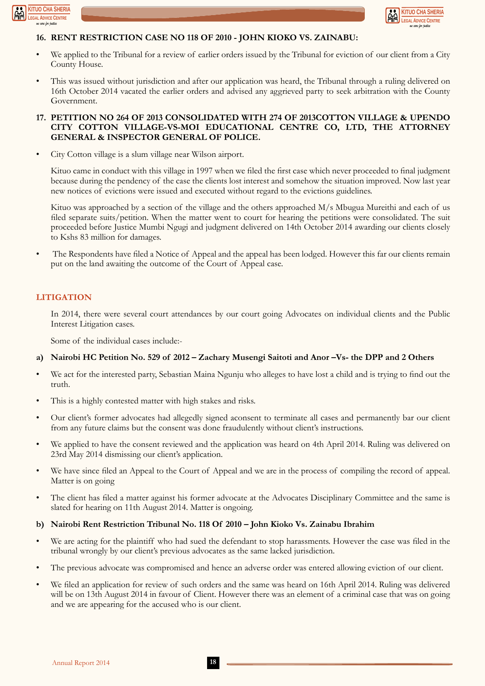



#### **16. RENT RESTRICTION CASE NO 118 OF 2010 - JOHN KIOKO VS. ZAINABU:**

- We applied to the Tribunal for a review of earlier orders issued by the Tribunal for eviction of our client from a City County House.
- This was issued without jurisdiction and after our application was heard, the Tribunal through a ruling delivered on 16th October 2014 vacated the earlier orders and advised any aggrieved party to seek arbitration with the County Government.

#### **17. PETITION NO 264 OF 2013 CONSOLIDATED WITH 274 OF 2013COTTON VILLAGE & UPENDO CITY COTTON VILLAGE-VS-MOI EDUCATIONAL CENTRE CO, LTD, THE ATTORNEY GENERAL & INSPECTOR GENERAL OF POLICE.**

• City Cotton village is a slum village near Wilson airport.

Kituo came in conduct with this village in 1997 when we filed the first case which never proceeded to final judgment because during the pendency of the case the clients lost interest and somehow the situation improved. Now last year new notices of evictions were issued and executed without regard to the evictions guidelines.

Kituo was approached by a section of the village and the others approached M/s Mbugua Mureithi and each of us filed separate suits/petition. When the matter went to court for hearing the petitions were consolidated. The suit proceeded before Justice Mumbi Ngugi and judgment delivered on 14th October 2014 awarding our clients closely to Kshs 83 million for damages.

• The Respondents have filed a Notice of Appeal and the appeal has been lodged. However this far our clients remain put on the land awaiting the outcome of the Court of Appeal case.

#### **LITIGATION**

In 2014, there were several court attendances by our court going Advocates on individual clients and the Public Interest Litigation cases.

Some of the individual cases include:-

#### **a) Nairobi HC Petition No. 529 of 2012 – Zachary Musengi Saitoti and Anor –Vs- the DPP and 2 Others**

- We act for the interested party, Sebastian Maina Ngunju who alleges to have lost a child and is trying to find out the truth.
- This is a highly contested matter with high stakes and risks.
- Our client's former advocates had allegedly signed aconsent to terminate all cases and permanently bar our client from any future claims but the consent was done fraudulently without client's instructions.
- We applied to have the consent reviewed and the application was heard on 4th April 2014. Ruling was delivered on 23rd May 2014 dismissing our client's application.
- We have since filed an Appeal to the Court of Appeal and we are in the process of compiling the record of appeal. Matter is on going
- The client has filed a matter against his former advocate at the Advocates Disciplinary Committee and the same is slated for hearing on 11th August 2014. Matter is ongoing.

#### **b) Nairobi Rent Restriction Tribunal No. 118 Of 2010 – John Kioko Vs. Zainabu Ibrahim**

- We are acting for the plaintiff who had sued the defendant to stop harassments. However the case was filed in the tribunal wrongly by our client's previous advocates as the same lacked jurisdiction.
- The previous advocate was compromised and hence an adverse order was entered allowing eviction of our client.
- We filed an application for review of such orders and the same was heard on 16th April 2014. Ruling was delivered will be on 13th August 2014 in favour of Client. However there was an element of a criminal case that was on going and we are appearing for the accused who is our client.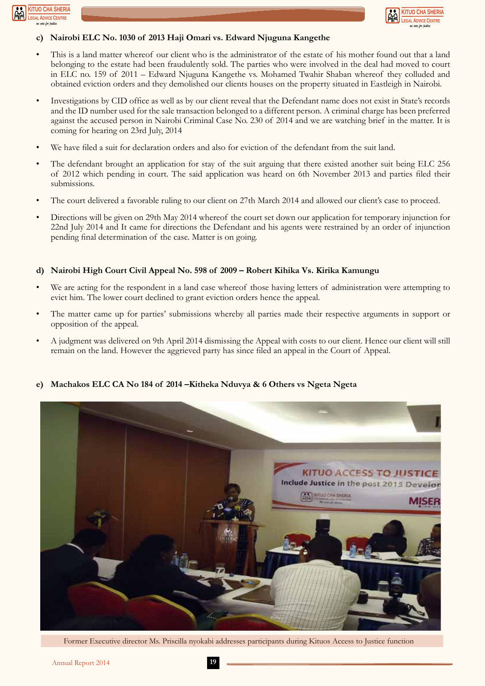



#### **c) Nairobi ELC No. 1030 of 2013 Haji Omari vs. Edward Njuguna Kangethe**

- This is a land matter whereof our client who is the administrator of the estate of his mother found out that a land belonging to the estate had been fraudulently sold. The parties who were involved in the deal had moved to court in ELC no. 159 of 2011 – Edward Njuguna Kangethe vs. Mohamed Twahir Shaban whereof they colluded and obtained eviction orders and they demolished our clients houses on the property situated in Eastleigh in Nairobi.
- Investigations by CID office as well as by our client reveal that the Defendant name does not exist in State's records and the ID number used for the sale transaction belonged to a different person. A criminal charge has been preferred against the accused person in Nairobi Criminal Case No. 230 of 2014 and we are watching brief in the matter. It is coming for hearing on 23rd July, 2014
- We have filed a suit for declaration orders and also for eviction of the defendant from the suit land.
- The defendant brought an application for stay of the suit arguing that there existed another suit being ELC 256 of 2012 which pending in court. The said application was heard on 6th November 2013 and parties filed their submissions.
- The court delivered a favorable ruling to our client on 27th March 2014 and allowed our client's case to proceed.
- Directions will be given on 29th May 2014 whereof the court set down our application for temporary injunction for 22nd July 2014 and It came for directions the Defendant and his agents were restrained by an order of injunction pending final determination of the case. Matter is on going.

#### **d) Nairobi High Court Civil Appeal No. 598 of 2009 – Robert Kihika Vs. Kirika Kamungu**

- We are acting for the respondent in a land case whereof those having letters of administration were attempting to evict him. The lower court declined to grant eviction orders hence the appeal.
- The matter came up for parties' submissions whereby all parties made their respective arguments in support or opposition of the appeal.
- A judgment was delivered on 9th April 2014 dismissing the Appeal with costs to our client. Hence our client will still remain on the land. However the aggrieved party has since filed an appeal in the Court of Appeal.



**e) Machakos ELC CA No 184 of 2014 –Kitheka Nduvya & 6 Others vs Ngeta Ngeta**

Former Executive director Ms. Priscilla nyokabi addresses participants during Kituos Access to Justice function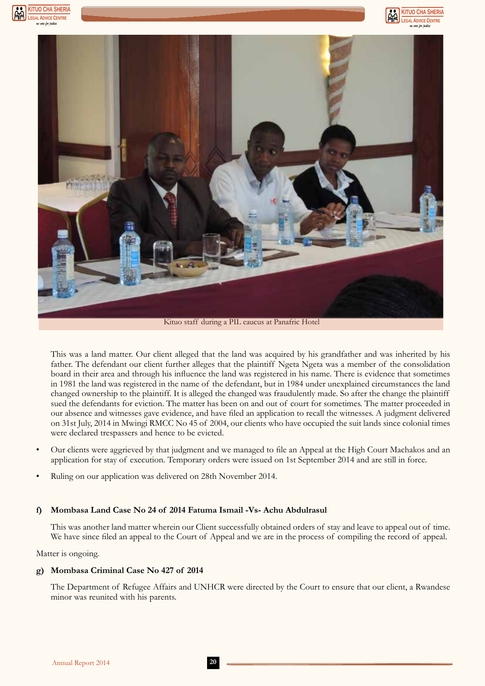





This was a land matter. Our client alleged that the land was acquired by his grandfather and was inherited by his father. The defendant our client further alleges that the plaintiff Ngeta Ngeta was a member of the consolidation board in their area and through his influence the land was registered in his name. There is evidence that sometimes in 1981 the land was registered in the name of the defendant, but in 1984 under unexplained circumstances the land changed ownership to the plaintiff. It is alleged the changed was fraudulently made. So after the change the plaintiff sued the defendants for eviction. The matter has been on and out of court for sometimes. The matter proceeded in our absence and witnesses gave evidence, and have filed an application to recall the witnesses. A judgment delivered

• Our clients were aggrieved by that judgment and we managed to file an Appeal at the High Court Machakos and an application for stay of execution. Temporary orders were issued on 1st September 2014 and are still in force.

on 31st July, 2014 in Mwingi RMCC No 45 of 2004, our clients who have occupied the suit lands since colonial times

• Ruling on our application was delivered on 28th November 2014.

were declared trespassers and hence to be evicted.

#### **f) Mombasa Land Case No 24 of 2014 Fatuma Ismail -Vs- Achu Abdulrasul**

This was another land matter wherein our Client successfully obtained orders of stay and leave to appeal out of time. We have since filed an appeal to the Court of Appeal and we are in the process of compiling the record of appeal.

Matter is ongoing.

#### **g) Mombasa Criminal Case No 427 of 2014**

The Department of Refugee Affairs and UNHCR were directed by the Court to ensure that our client, a Rwandese minor was reunited with his parents.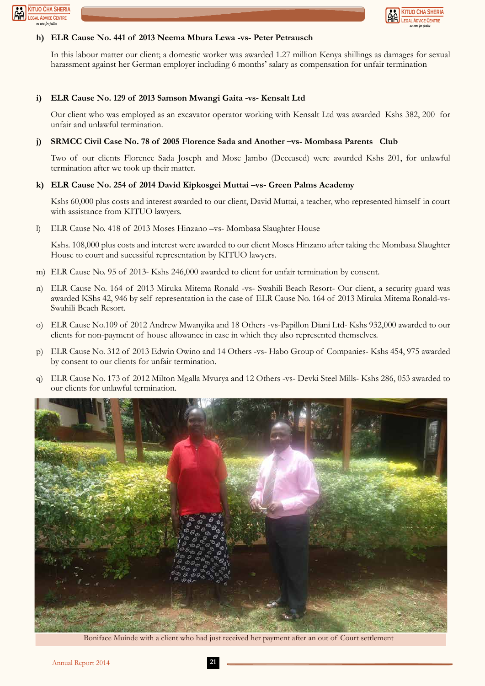



#### **h) ELR Cause No. 441 of 2013 Neema Mbura Lewa -vs- Peter Petrausch**

In this labour matter our client; a domestic worker was awarded 1.27 million Kenya shillings as damages for sexual harassment against her German employer including 6 months' salary as compensation for unfair termination

#### **i) ELR Cause No. 129 of 2013 Samson Mwangi Gaita -vs- Kensalt Ltd**

Our client who was employed as an excavator operator working with Kensalt Ltd was awarded Kshs 382, 200 for unfair and unlawful termination.

#### **j) SRMCC Civil Case No. 78 of 2005 Florence Sada and Another –vs- Mombasa Parents Club**

Two of our clients Florence Sada Joseph and Mose Jambo (Deceased) were awarded Kshs 201, for unlawful termination after we took up their matter.

#### **k) ELR Cause No. 254 of 2014 David Kipkosgei Muttai –vs- Green Palms Academy**

Kshs 60,000 plus costs and interest awarded to our client, David Muttai, a teacher, who represented himself in court with assistance from KITUO lawyers.

l) ELR Cause No. 418 of 2013 Moses Hinzano –vs- Mombasa Slaughter House

Kshs. 108,000 plus costs and interest were awarded to our client Moses Hinzano after taking the Mombasa Slaughter House to court and sucessiful representation by KITUO lawyers.

- m) ELR Cause No. 95 of 2013- Kshs 246,000 awarded to client for unfair termination by consent.
- n) ELR Cause No. 164 of 2013 Miruka Mitema Ronald -vs- Swahili Beach Resort- Our client, a security guard was awarded KShs 42, 946 by self representation in the case of ELR Cause No. 164 of 2013 Miruka Mitema Ronald-vs-Swahili Beach Resort.
- o) ELR Cause No.109 of 2012 Andrew Mwanyika and 18 Others -vs-Papillon Diani Ltd- Kshs 932,000 awarded to our clients for non-payment of house allowance in case in which they also represented themselves.
- p) ELR Cause No. 312 of 2013 Edwin Owino and 14 Others -vs- Habo Group of Companies- Kshs 454, 975 awarded by consent to our clients for unfair termination.
- q) ELR Cause No. 173 of 2012 Milton Mgalla Mvurya and 12 Others -vs- Devki Steel Mills- Kshs 286, 053 awarded to our clients for unlawful termination.



Boniface Muinde with a client who had just received her payment after an out of Court settlement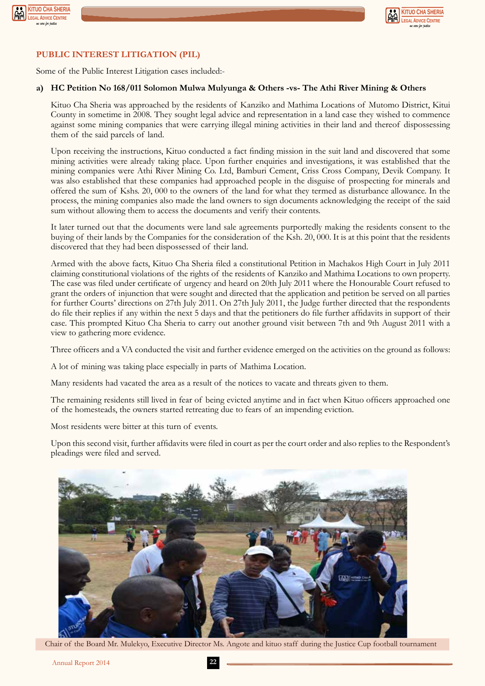



#### **PUBLIC INTEREST LITIGATION (PIL)**

Some of the Public Interest Litigation cases included:-

#### **a) HC Petition No 168/011 Solomon Mulwa Mulyunga & Others -vs- The Athi River Mining & Others**

Kituo Cha Sheria was approached by the residents of Kanziko and Mathima Locations of Mutomo District, Kitui County in sometime in 2008. They sought legal advice and representation in a land case they wished to commence against some mining companies that were carrying illegal mining activities in their land and thereof dispossessing them of the said parcels of land.

Upon receiving the instructions, Kituo conducted a fact finding mission in the suit land and discovered that some mining activities were already taking place. Upon further enquiries and investigations, it was established that the mining companies were Athi River Mining Co. Ltd, Bamburi Cement, Criss Cross Company, Devik Company. It was also established that these companies had approached people in the disguise of prospecting for minerals and offered the sum of Kshs. 20, 000 to the owners of the land for what they termed as disturbance allowance. In the process, the mining companies also made the land owners to sign documents acknowledging the receipt of the said sum without allowing them to access the documents and verify their contents.

It later turned out that the documents were land sale agreements purportedly making the residents consent to the buying of their lands by the Companies for the consideration of the Ksh. 20, 000. It is at this point that the residents discovered that they had been dispossessed of their land.

Armed with the above facts, Kituo Cha Sheria filed a constitutional Petition in Machakos High Court in July 2011 claiming constitutional violations of the rights of the residents of Kanziko and Mathima Locations to own property. The case was filed under certificate of urgency and heard on 20th July 2011 where the Honourable Court refused to grant the orders of injunction that were sought and directed that the application and petition be served on all parties for further Courts' directions on 27th July 2011. On 27th July 2011, the Judge further directed that the respondents do file their replies if any within the next 5 days and that the petitioners do file further affidavits in support of their case. This prompted Kituo Cha Sheria to carry out another ground visit between 7th and 9th August 2011 with a view to gathering more evidence.

Three officers and a VA conducted the visit and further evidence emerged on the activities on the ground as follows:

A lot of mining was taking place especially in parts of Mathima Location.

Many residents had vacated the area as a result of the notices to vacate and threats given to them.

The remaining residents still lived in fear of being evicted anytime and in fact when Kituo officers approached one of the homesteads, the owners started retreating due to fears of an impending eviction.

Most residents were bitter at this turn of events.

Upon this second visit, further affidavits were filed in court as per the court order and also replies to the Respondent's pleadings were filed and served.



Chair of the Board Mr. Mulekyo, Executive Director Ms. Angote and kituo staff during the Justice Cup football tournament

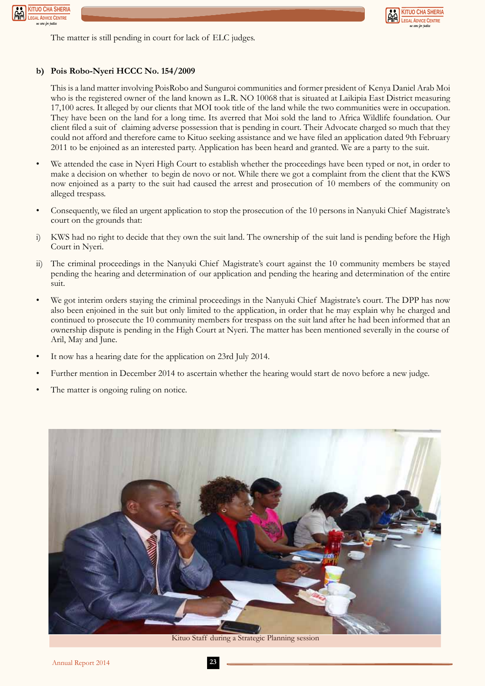



The matter is still pending in court for lack of ELC judges.

#### **b) Pois Robo-Nyeri HCCC No. 154/2009**

This is a land matter involving PoisRobo and Sunguroi communities and former president of Kenya Daniel Arab Moi who is the registered owner of the land known as L.R. NO 10068 that is situated at Laikipia East District measuring 17,100 acres. It alleged by our clients that MOI took title of the land while the two communities were in occupation. They have been on the land for a long time. Its averred that Moi sold the land to Africa Wildlife foundation. Our client filed a suit of claiming adverse possession that is pending in court. Their Advocate charged so much that they could not afford and therefore came to Kituo seeking assistance and we have filed an application dated 9th February 2011 to be enjoined as an interested party. Application has been heard and granted. We are a party to the suit.

- We attended the case in Nyeri High Court to establish whether the proceedings have been typed or not, in order to make a decision on whether to begin de novo or not. While there we got a complaint from the client that the KWS now enjoined as a party to the suit had caused the arrest and prosecution of 10 members of the community on alleged trespass.
- Consequently, we filed an urgent application to stop the prosecution of the 10 persons in Nanyuki Chief Magistrate's court on the grounds that:
- i) KWS had no right to decide that they own the suit land. The ownership of the suit land is pending before the High Court in Nyeri.
- ii) The criminal proceedings in the Nanyuki Chief Magistrate's court against the 10 community members be stayed pending the hearing and determination of our application and pending the hearing and determination of the entire suit.
- We got interim orders staying the criminal proceedings in the Nanyuki Chief Magistrate's court. The DPP has now also been enjoined in the suit but only limited to the application, in order that he may explain why he charged and continued to prosecute the 10 community members for trespass on the suit land after he had been informed that an ownership dispute is pending in the High Court at Nyeri. The matter has been mentioned severally in the course of Aril, May and June.
- It now has a hearing date for the application on 23rd July 2014.
- Further mention in December 2014 to ascertain whether the hearing would start de novo before a new judge.
- The matter is ongoing ruling on notice.



Kituo Staff during a Strategic Planning session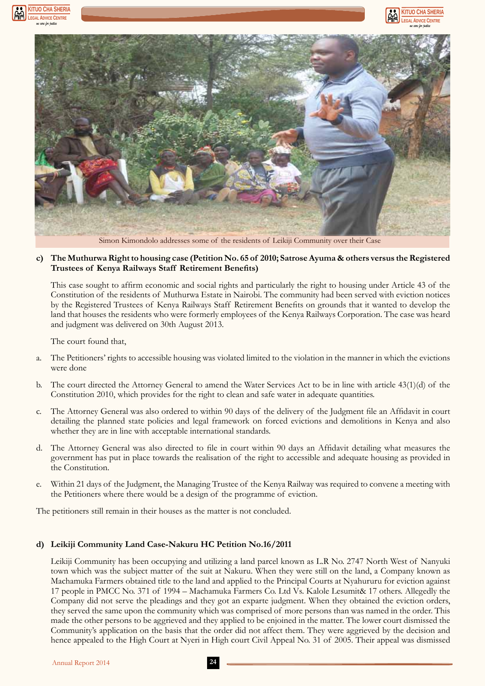





Simon Kimondolo addresses some of the residents of Leikiji Community over their Case

#### **c) The Muthurwa Right to housing case (Petition No. 65 of 2010; Satrose Ayuma & others versus the Registered Trustees of Kenya Railways Staff Retirement Benefits)**

This case sought to affirm economic and social rights and particularly the right to housing under Article 43 of the Constitution of the residents of Muthurwa Estate in Nairobi. The community had been served with eviction notices by the Registered Trustees of Kenya Railways Staff Retirement Benefits on grounds that it wanted to develop the land that houses the residents who were formerly employees of the Kenya Railways Corporation. The case was heard and judgment was delivered on 30th August 2013.

The court found that,

- a. The Petitioners' rights to accessible housing was violated limited to the violation in the manner in which the evictions were done
- b. The court directed the Attorney General to amend the Water Services Act to be in line with article 43(1)(d) of the Constitution 2010, which provides for the right to clean and safe water in adequate quantities.
- c. The Attorney General was also ordered to within 90 days of the delivery of the Judgment file an Affidavit in court detailing the planned state policies and legal framework on forced evictions and demolitions in Kenya and also whether they are in line with acceptable international standards.
- d. The Attorney General was also directed to file in court within 90 days an Affidavit detailing what measures the government has put in place towards the realisation of the right to accessible and adequate housing as provided in the Constitution.
- e. Within 21 days of the Judgment, the Managing Trustee of the Kenya Railway was required to convene a meeting with the Petitioners where there would be a design of the programme of eviction.

The petitioners still remain in their houses as the matter is not concluded.

#### **d) Leikiji Community Land Case-Nakuru HC Petition No.16/2011**

Leikiji Community has been occupying and utilizing a land parcel known as L.R No. 2747 North West of Nanyuki town which was the subject matter of the suit at Nakuru. When they were still on the land, a Company known as Machamuka Farmers obtained title to the land and applied to the Principal Courts at Nyahururu for eviction against 17 people in PMCC No. 371 of 1994 – Machamuka Farmers Co. Ltd Vs. Kalole Lesumit& 17 others. Allegedly the Company did not serve the pleadings and they got an exparte judgment. When they obtained the eviction orders, they served the same upon the community which was comprised of more persons than was named in the order. This made the other persons to be aggrieved and they applied to be enjoined in the matter. The lower court dismissed the Community's application on the basis that the order did not affect them. They were aggrieved by the decision and hence appealed to the High Court at Nyeri in High court Civil Appeal No. 31 of 2005. Their appeal was dismissed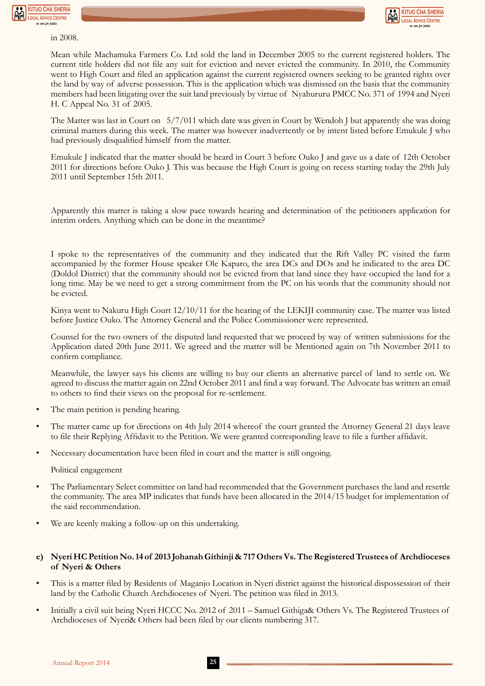



in 2008.

Mean while Machamuka Farmers Co. Ltd sold the land in December 2005 to the current registered holders. The current title holders did not file any suit for eviction and never evicted the community. In 2010, the Community went to High Court and filed an application against the current registered owners seeking to be granted rights over the land by way of adverse possession. This is the application which was dismissed on the basis that the community members had been litigating over the suit land previously by virtue of Nyahururu PMCC No. 371 of 1994 and Nyeri H. C Appeal No. 31 of 2005.

The Matter was last in Court on 5/7/011 which date was given in Court by Wendoh J but apparently she was doing criminal matters during this week. The matter was however inadvertently or by intent listed before Emukule J who had previously disqualified himself from the matter.

Emukule J indicated that the matter should be heard in Court 3 before Ouko J and gave us a date of 12th October 2011 for directions before Ouko J. This was because the High Court is going on recess starting today the 29th July 2011 until September 15th 2011.

Apparently this matter is taking a slow pace towards hearing and determination of the petitioners application for interim orders. Anything which can be done in the meantime?

I spoke to the representatives of the community and they indicated that the Rift Valley PC visited the farm accompanied by the former House speaker Ole Kaparo, the area DCs and DOs and he indicated to the area DC (Doldol District) that the community should not be evicted from that land since they have occupied the land for a long time. May be we need to get a strong commitment from the PC on his words that the community should not be evicted.

Kinya went to Nakuru High Court 12/10/11 for the hearing of the LEKIJI community case. The matter was listed before Justice Ouko. The Attorney General and the Police Commissioner were represented.

Counsel for the two owners of the disputed land requested that we proceed by way of written submissions for the Application dated 20th June 2011. We agreed and the matter will be Mentioned again on 7th November 2011 to confirm compliance.

Meanwhile, the lawyer says his clients are willing to buy our clients an alternative parcel of land to settle on. We agreed to discuss the matter again on 22nd October 2011 and find a way forward. The Advocate has written an email to others to find their views on the proposal for re-settlement.

- The main petition is pending hearing.
- The matter came up for directions on 4th July 2014 whereof the court granted the Attorney General 21 days leave to file their Replying Affidavit to the Petition. We were granted corresponding leave to file a further affidavit.
- Necessary documentation have been filed in court and the matter is still ongoing.

Political engagement

- The Parliamentary Select committee on land had recommended that the Government purchases the land and resettle the community. The area MP indicates that funds have been allocated in the 2014/15 budget for implementation of the said recommendation.
- We are keenly making a follow-up on this undertaking.

#### **e) Nyeri HC Petition No. 14 of 2013 Johanah Githinji & 717 Others Vs. The Registered Trustees of Archdioceses of Nyeri & Others**

- This is a matter filed by Residents of Maganjo Location in Nyeri district against the historical dispossession of their land by the Catholic Church Archdioceses of Nyeri. The petition was filed in 2013.
- Initially a civil suit being Nyeri HCCC No. 2012 of 2011 Samuel Githiga& Others Vs. The Registered Trustees of Archdioceses of Nyeri& Others had been filed by our clients numbering 317.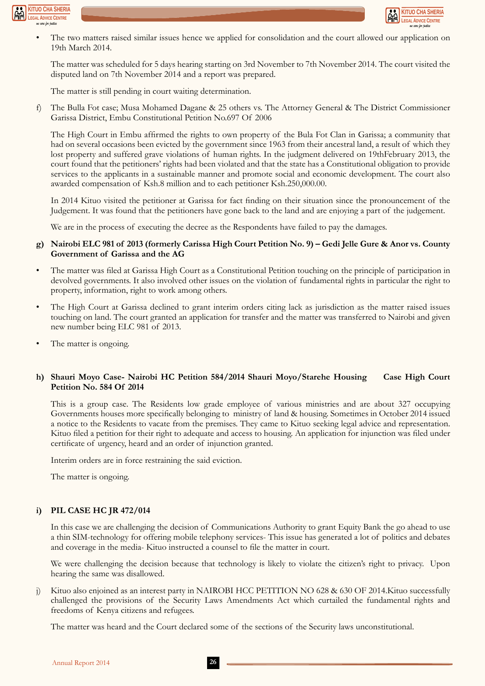



• The two matters raised similar issues hence we applied for consolidation and the court allowed our application on 19th March 2014.

The matter was scheduled for 5 days hearing starting on 3rd November to 7th November 2014. The court visited the disputed land on 7th November 2014 and a report was prepared.

The matter is still pending in court waiting determination.

f) The Bulla Fot case; Musa Mohamed Dagane & 25 others vs. The Attorney General & The District Commissioner Garissa District, Embu Constitutional Petition No.697 Of 2006

The High Court in Embu affirmed the rights to own property of the Bula Fot Clan in Garissa; a community that had on several occasions been evicted by the government since 1963 from their ancestral land, a result of which they lost property and suffered grave violations of human rights. In the judgment delivered on 19thFebruary 2013, the court found that the petitioners' rights had been violated and that the state has a Constitutional obligation to provide services to the applicants in a sustainable manner and promote social and economic development. The court also awarded compensation of Ksh.8 million and to each petitioner Ksh.250,000.00.

In 2014 Kituo visited the petitioner at Garissa for fact finding on their situation since the pronouncement of the Judgement. It was found that the petitioners have gone back to the land and are enjoying a part of the judgement.

We are in the process of executing the decree as the Respondents have failed to pay the damages.

#### **g) Nairobi ELC 981 of 2013 (formerly Carissa High Court Petition No. 9) – Gedi Jelle Gure & Anor vs. County Government of Garissa and the AG**

- The matter was filed at Garissa High Court as a Constitutional Petition touching on the principle of participation in devolved governments. It also involved other issues on the violation of fundamental rights in particular the right to property, information, right to work among others.
- The High Court at Garissa declined to grant interim orders citing lack as jurisdiction as the matter raised issues touching on land. The court granted an application for transfer and the matter was transferred to Nairobi and given new number being ELC 981 of 2013.
- The matter is ongoing.

#### **h) Shauri Moyo Case- Nairobi HC Petition 584/2014 Shauri Moyo/Starehe Housing Case High Court Petition No. 584 Of 2014**

This is a group case. The Residents low grade employee of various ministries and are about 327 occupying Governments houses more specifically belonging to ministry of land & housing. Sometimes in October 2014 issued a notice to the Residents to vacate from the premises. They came to Kituo seeking legal advice and representation. Kituo filed a petition for their right to adequate and access to housing. An application for injunction was filed under certificate of urgency, heard and an order of injunction granted.

Interim orders are in force restraining the said eviction.

The matter is ongoing.

#### **i) PIL CASE HC JR 472/014**

In this case we are challenging the decision of Communications Authority to grant Equity Bank the go ahead to use a thin SIM-technology for offering mobile telephony services- This issue has generated a lot of politics and debates and coverage in the media- Kituo instructed a counsel to file the matter in court.

We were challenging the decision because that technology is likely to violate the citizen's right to privacy. Upon hearing the same was disallowed.

j) Kituo also enjoined as an interest party in NAIROBI HCC PETITION NO 628 & 630 OF 2014.Kituo successfully challenged the provisions of the Security Laws Amendments Act which curtailed the fundamental rights and freedoms of Kenya citizens and refugees.

The matter was heard and the Court declared some of the sections of the Security laws unconstitutional.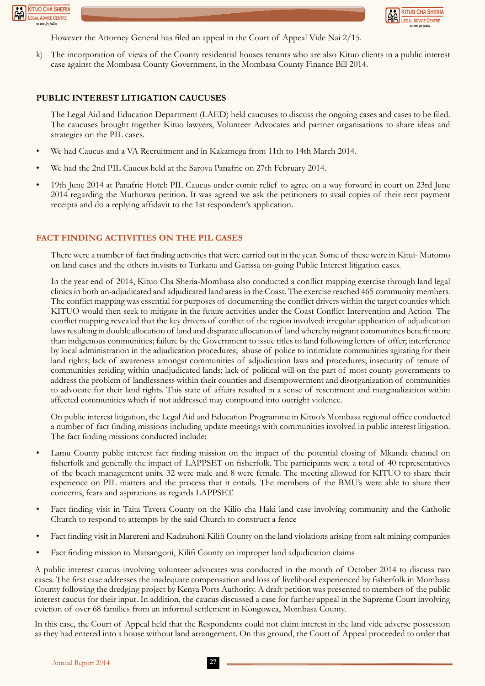



However the Attorney General has filed an appeal in the Court of Appeal Vide Nai 2/15.

k) The incorporation of views of the County residential houses tenants who are also Kituo clients in a public interest case against the Mombasa County Government, in the Mombasa County Finance Bill 2014.

#### **PUBLIC INTEREST LITIGATION CAUCUSES**

The Legal Aid and Education Department (LAED) held caucuses to discuss the ongoing cases and cases to be filed. The caucuses brought together Kituo lawyers, Volunteer Advocates and partner organisations to share ideas and strategies on the PIL cases.

- We had Caucus and a VA Recruitment and in Kakamega from 11th to 14th March 2014.
- We had the 2nd PIL Caucus held at the Sarova Panafric on 27th February 2014.
- 19th June 2014 at Panafric Hotel: PIL Caucus under comic relief to agree on a way forward in court on 23rd June 2014 regarding the Muthurwa petition. It was agreed we ask the petitioners to avail copies of their rent payment receipts and do a replying affidavit to the 1st respondent's application.

#### **FACT FINDING ACTIVITIES ON THE PIL CASES**

There were a number of fact finding activities that were carried out in the year. Some of these were in Kitui- Mutomo on land cases and the others in.visits to Turkana and Garissa on-going Public Interest litigation cases.

In the year end of 2014, Kituo Cha Sheria-Mombasa also conducted a conflict mapping exercise through land legal clinics in both un-adjudicated and adjudicated land areas in the Coast. The exercise reached 465 community members. The conflict mapping was essential for purposes of documenting the conflict drivers within the target counties which KITUO would then seek to mitigate in the future activities under the Coast Conflict Intervention and Action The conflict mapping revealed that the key drivers of conflict of the region involved: irregular application of adjudication laws resulting in double allocation of land and disparate allocation of land whereby migrant communities benefit more than indigenous communities; failure by the Government to issue titles to land following letters of offer; interference by local administration in the adjudication procedures; abuse of police to intimidate communities agitating for their land rights; lack of awareness amongst communities of adjudication laws and procedures; insecurity of tenure of communities residing within unadjudicated lands; lack of political will on the part of most county governments to address the problem of landlessness within their counties and disempowerment and disorganization of communities to advocate for their land rights. This state of affairs resulted in a sense of resentment and marginalization within affected communities which if not addressed may compound into outright violence.

On public interest litigation, the Legal Aid and Education Programme in Kituo's Mombasa regional office conducted a number of fact finding missions including update meetings with communities involved in public interest litigation. The fact finding missions conducted include:

- Lamu County public interest fact finding mission on the impact of the potential closing of Mkanda channel on fisherfolk and generally the impact of LAPPSET on fisherfolk. The participants were a total of 40 representatives of the beach management units. 32 were male and 8 were female. The meeting allowed for KITUO to share their experience on PIL matters and the process that it entails. The members of the BMU's were able to share their concerns, fears and aspirations as regards LAPPSET.
- Fact finding visit in Taita Taveta County on the Kilio cha Haki land case involving community and the Catholic Church to respond to attempts by the said Church to construct a fence
- Fact finding visit in Marereni and Kadzuhoni Kilifi County on the land violations arising from salt mining companies
- Fact finding mission to Matsangoni, Kilifi County on improper land adjudication claims

A public interest caucus involving volunteer advocates was conducted in the month of October 2014 to discuss two cases. The first case addresses the inadequate compensation and loss of livelihood experienced by fisherfolk in Mombasa County following the dredging project by Kenya Ports Authority. A draft petition was presented to members of the public interest caucus for their input. In addition, the caucus discussed a case for further appeal in the Supreme Court involving eviction of over 68 families from an informal settlement in Kongowea, Mombasa County.

In this case, the Court of Appeal held that the Respondents could not claim interest in the land vide adverse possession as they had entered into a house without land arrangement. On this ground, the Court of Appeal proceeded to order that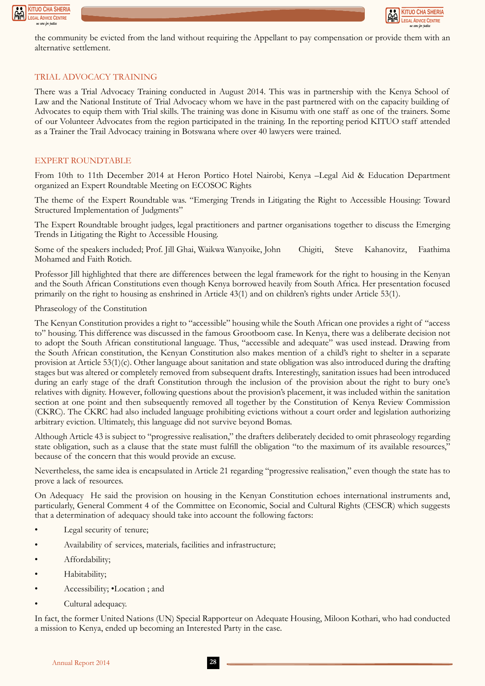



the community be evicted from the land without requiring the Appellant to pay compensation or provide them with an alternative settlement.

#### TRIAL ADVOCACY TRAINING

There was a Trial Advocacy Training conducted in August 2014. This was in partnership with the Kenya School of Law and the National Institute of Trial Advocacy whom we have in the past partnered with on the capacity building of Advocates to equip them with Trial skills. The training was done in Kisumu with one staff as one of the trainers. Some of our Volunteer Advocates from the region participated in the training. In the reporting period KITUO staff attended as a Trainer the Trail Advocacy training in Botswana where over 40 lawyers were trained.

#### EXPERT ROUNDTABLE

From 10th to 11th December 2014 at Heron Portico Hotel Nairobi, Kenya –Legal Aid & Education Department organized an Expert Roundtable Meeting on ECOSOC Rights

The theme of the Expert Roundtable was. "Emerging Trends in Litigating the Right to Accessible Housing: Toward Structured Implementation of Judgments"

The Expert Roundtable brought judges, legal practitioners and partner organisations together to discuss the Emerging Trends in Litigating the Right to Accessible Housing.

Some of the speakers included; Prof. Jill Ghai, Waikwa Wanyoike, John Chigiti, Steve Kahanovitz, Faathima Mohamed and Faith Rotich.

Professor Jill highlighted that there are differences between the legal framework for the right to housing in the Kenyan and the South African Constitutions even though Kenya borrowed heavily from South Africa. Her presentation focused primarily on the right to housing as enshrined in Article 43(1) and on children's rights under Article 53(1).

#### Phraseology of the Constitution

The Kenyan Constitution provides a right to "accessible" housing while the South African one provides a right of "access to" housing. This difference was discussed in the famous Grootboom case. In Kenya, there was a deliberate decision not to adopt the South African constitutional language. Thus, "accessible and adequate" was used instead. Drawing from the South African constitution, the Kenyan Constitution also makes mention of a child's right to shelter in a separate provision at Article  $53(1)(c)$ . Other language about sanitation and state obligation was also introduced during the drafting stages but was altered or completely removed from subsequent drafts. Interestingly, sanitation issues had been introduced during an early stage of the draft Constitution through the inclusion of the provision about the right to bury one's relatives with dignity. However, following questions about the provision's placement, it was included within the sanitation section at one point and then subsequently removed all together by the Constitution of Kenya Review Commission (CKRC). The CKRC had also included language prohibiting evictions without a court order and legislation authorizing arbitrary eviction. Ultimately, this language did not survive beyond Bomas.

Although Article 43 is subject to "progressive realisation," the drafters deliberately decided to omit phraseology regarding state obligation, such as a clause that the state must fulfill the obligation "to the maximum of its available resources," because of the concern that this would provide an excuse.

Nevertheless, the same idea is encapsulated in Article 21 regarding "progressive realisation," even though the state has to prove a lack of resources.

On Adequacy He said the provision on housing in the Kenyan Constitution echoes international instruments and, particularly, General Comment 4 of the Committee on Economic, Social and Cultural Rights (CESCR) which suggests that a determination of adequacy should take into account the following factors:

- Legal security of tenure;
- Availability of services, materials, facilities and infrastructure;
- Affordability;
- Habitability;
- Accessibility; •Location ; and
- Cultural adequacy.

In fact, the former United Nations (UN) Special Rapporteur on Adequate Housing, Miloon Kothari, who had conducted a mission to Kenya, ended up becoming an Interested Party in the case.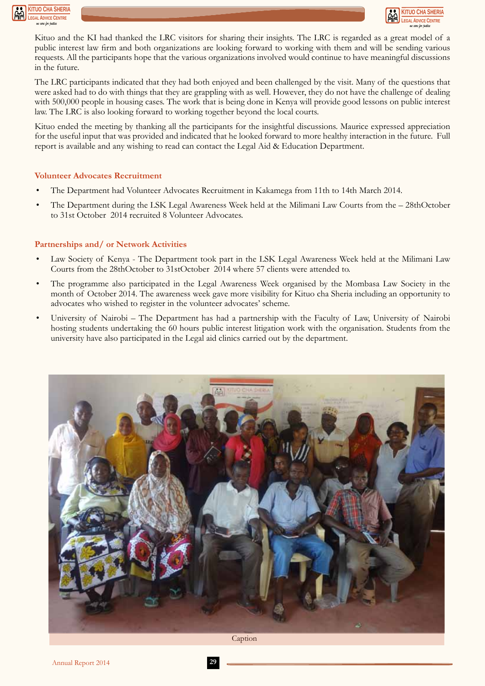



Kituo and the KI had thanked the LRC visitors for sharing their insights. The LRC is regarded as a great model of a public interest law firm and both organizations are looking forward to working with them and will be sending various requests. All the participants hope that the various organizations involved would continue to have meaningful discussions in the future.

The LRC participants indicated that they had both enjoyed and been challenged by the visit. Many of the questions that were asked had to do with things that they are grappling with as well. However, they do not have the challenge of dealing with 500,000 people in housing cases. The work that is being done in Kenya will provide good lessons on public interest law. The LRC is also looking forward to working together beyond the local courts.

Kituo ended the meeting by thanking all the participants for the insightful discussions. Maurice expressed appreciation for the useful input that was provided and indicated that he looked forward to more healthy interaction in the future. Full report is available and any wishing to read can contact the Legal Aid & Education Department.

#### **Volunteer Advocates Recruitment**

- The Department had Volunteer Advocates Recruitment in Kakamega from 11th to 14th March 2014.
- The Department during the LSK Legal Awareness Week held at the Milimani Law Courts from the 28thOctober to 31st October 2014 recruited 8 Volunteer Advocates.

#### **Partnerships and/ or Network Activities**

- Law Society of Kenya The Department took part in the LSK Legal Awareness Week held at the Milimani Law Courts from the 28thOctober to 31stOctober 2014 where 57 clients were attended to.
- The programme also participated in the Legal Awareness Week organised by the Mombasa Law Society in the month of October 2014. The awareness week gave more visibility for Kituo cha Sheria including an opportunity to advocates who wished to register in the volunteer advocates' scheme.
- University of Nairobi The Department has had a partnership with the Faculty of Law, University of Nairobi hosting students undertaking the 60 hours public interest litigation work with the organisation. Students from the university have also participated in the Legal aid clinics carried out by the department.



Caption